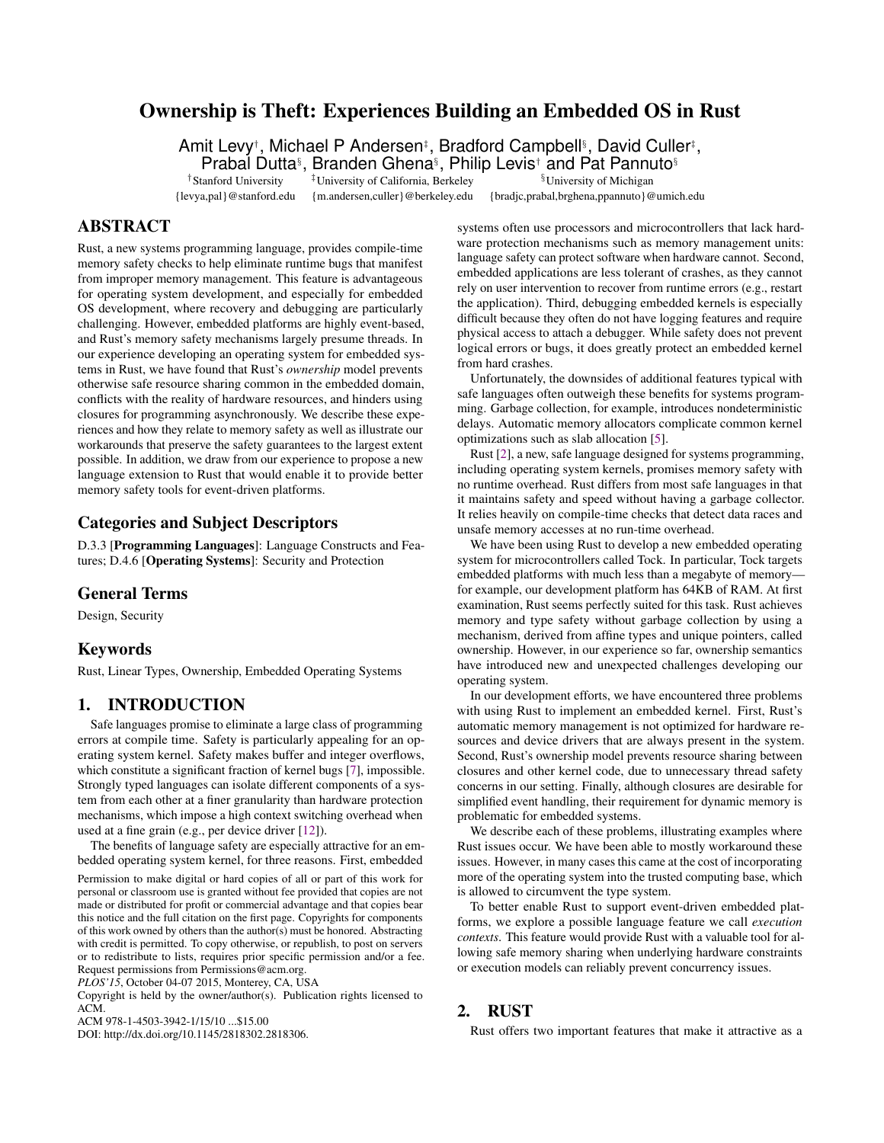# Ownership is Theft: Experiences Building an Embedded OS in Rust

Amit Levy†, Michael P Andersen‡, Bradford Campbell§, David Culler‡,

Prabal Dutta§ , Branden Ghena§ , Philip Levis† and Pat Pannuto§ †Stanford University ‡University of California, Berkeley §University of Michigan

{levya,pal}@stanford.edu {m.andersen,culler}@berkeley.edu {bradjc,prabal,brghena,ppannuto}@umich.edu

# ABSTRACT

Rust, a new systems programming language, provides compile-time memory safety checks to help eliminate runtime bugs that manifest from improper memory management. This feature is advantageous for operating system development, and especially for embedded OS development, where recovery and debugging are particularly challenging. However, embedded platforms are highly event-based, and Rust's memory safety mechanisms largely presume threads. In our experience developing an operating system for embedded systems in Rust, we have found that Rust's *ownership* model prevents otherwise safe resource sharing common in the embedded domain, conflicts with the reality of hardware resources, and hinders using closures for programming asynchronously. We describe these experiences and how they relate to memory safety as well as illustrate our workarounds that preserve the safety guarantees to the largest extent possible. In addition, we draw from our experience to propose a new language extension to Rust that would enable it to provide better memory safety tools for event-driven platforms.

# Categories and Subject Descriptors

D.3.3 [Programming Languages]: Language Constructs and Features; D.4.6 [Operating Systems]: Security and Protection

#### General Terms

Design, Security

#### Keywords

Rust, Linear Types, Ownership, Embedded Operating Systems

#### 1. INTRODUCTION

Safe languages promise to eliminate a large class of programming errors at compile time. Safety is particularly appealing for an operating system kernel. Safety makes buffer and integer overflows, which constitute a significant fraction of kernel bugs [\[7\]](#page-5-0), impossible. Strongly typed languages can isolate different components of a system from each other at a finer granularity than hardware protection mechanisms, which impose a high context switching overhead when used at a fine grain (e.g., per device driver [\[12\]](#page-5-1)).

The benefits of language safety are especially attractive for an embedded operating system kernel, for three reasons. First, embedded

Permission to make digital or hard copies of all or part of this work for personal or classroom use is granted without fee provided that copies are not made or distributed for profit or commercial advantage and that copies bear this notice and the full citation on the first page. Copyrights for components of this work owned by others than the author(s) must be honored. Abstracting with credit is permitted. To copy otherwise, or republish, to post on servers or to redistribute to lists, requires prior specific permission and/or a fee. Request permissions from Permissions@acm.org.

*PLOS'15*, October 04-07 2015, Monterey, CA, USA

Copyright is held by the owner/author(s). Publication rights licensed to ACM.

ACM 978-1-4503-3942-1/15/10 ...\$15.00

DOI: http://dx.doi.org/10.1145/2818302.2818306.

systems often use processors and microcontrollers that lack hardware protection mechanisms such as memory management units: language safety can protect software when hardware cannot. Second, embedded applications are less tolerant of crashes, as they cannot rely on user intervention to recover from runtime errors (e.g., restart the application). Third, debugging embedded kernels is especially difficult because they often do not have logging features and require physical access to attach a debugger. While safety does not prevent logical errors or bugs, it does greatly protect an embedded kernel from hard crashes.

Unfortunately, the downsides of additional features typical with safe languages often outweigh these benefits for systems programming. Garbage collection, for example, introduces nondeterministic delays. Automatic memory allocators complicate common kernel optimizations such as slab allocation [\[5\]](#page-5-2).

Rust [\[2\]](#page-5-3), a new, safe language designed for systems programming, including operating system kernels, promises memory safety with no runtime overhead. Rust differs from most safe languages in that it maintains safety and speed without having a garbage collector. It relies heavily on compile-time checks that detect data races and unsafe memory accesses at no run-time overhead.

We have been using Rust to develop a new embedded operating system for microcontrollers called Tock. In particular, Tock targets embedded platforms with much less than a megabyte of memory for example, our development platform has 64KB of RAM. At first examination, Rust seems perfectly suited for this task. Rust achieves memory and type safety without garbage collection by using a mechanism, derived from affine types and unique pointers, called ownership. However, in our experience so far, ownership semantics have introduced new and unexpected challenges developing our operating system.

In our development efforts, we have encountered three problems with using Rust to implement an embedded kernel. First, Rust's automatic memory management is not optimized for hardware resources and device drivers that are always present in the system. Second, Rust's ownership model prevents resource sharing between closures and other kernel code, due to unnecessary thread safety concerns in our setting. Finally, although closures are desirable for simplified event handling, their requirement for dynamic memory is problematic for embedded systems.

We describe each of these problems, illustrating examples where Rust issues occur. We have been able to mostly workaround these issues. However, in many cases this came at the cost of incorporating more of the operating system into the trusted computing base, which is allowed to circumvent the type system.

To better enable Rust to support event-driven embedded platforms, we explore a possible language feature we call *execution contexts*. This feature would provide Rust with a valuable tool for allowing safe memory sharing when underlying hardware constraints or execution models can reliably prevent concurrency issues.

# 2. RUST

Rust offers two important features that make it attractive as a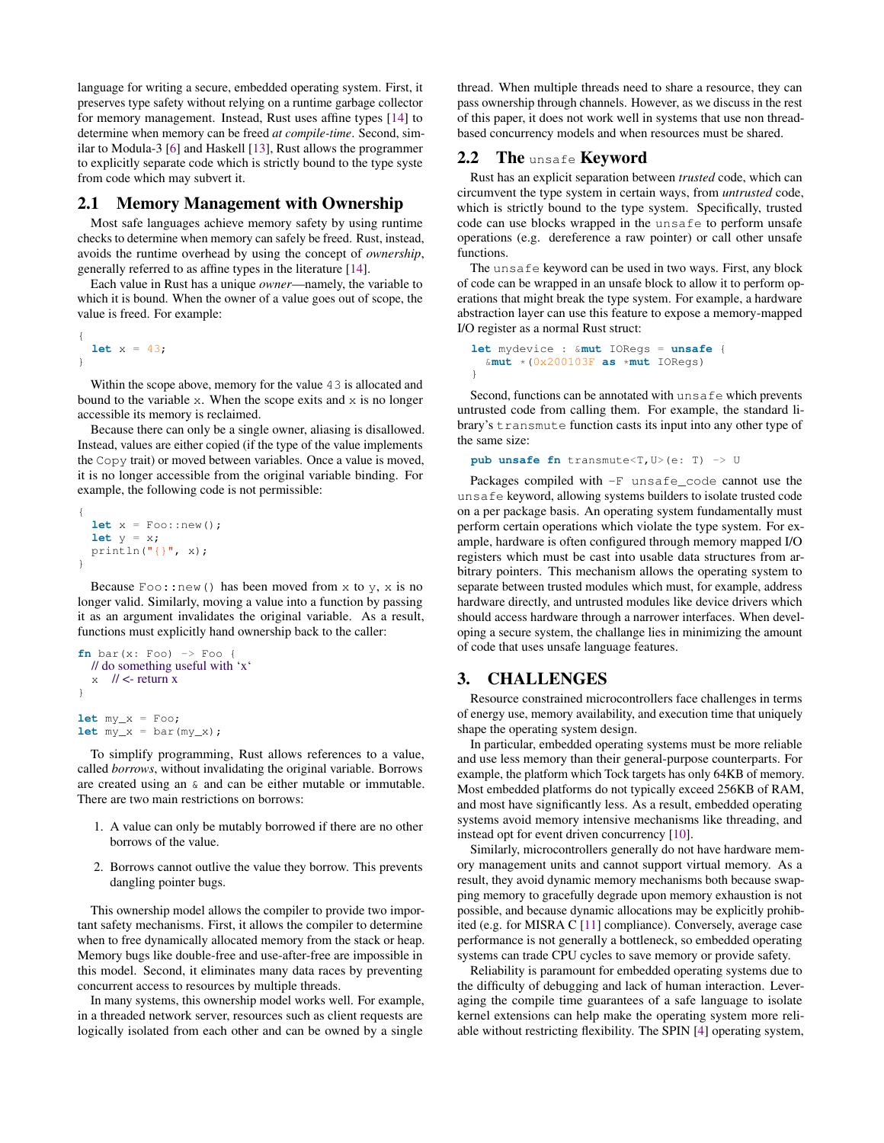language for writing a secure, embedded operating system. First, it preserves type safety without relying on a runtime garbage collector for memory management. Instead, Rust uses affine types [\[14\]](#page-5-4) to determine when memory can be freed *at compile-time*. Second, similar to Modula-3 [\[6\]](#page-5-5) and Haskell [\[13\]](#page-5-6), Rust allows the programmer to explicitly separate code which is strictly bound to the type syste from code which may subvert it.

#### 2.1 Memory Management with Ownership

Most safe languages achieve memory safety by using runtime checks to determine when memory can safely be freed. Rust, instead, avoids the runtime overhead by using the concept of *ownership*, generally referred to as affine types in the literature [\[14\]](#page-5-4).

Each value in Rust has a unique *owner*—namely, the variable to which it is bound. When the owner of a value goes out of scope, the value is freed. For example:

```
{
  let x = 43;
}
```
Within the scope above, memory for the value 43 is allocated and bound to the variable x. When the scope exits and  $x$  is no longer accessible its memory is reclaimed.

Because there can only be a single owner, aliasing is disallowed. Instead, values are either copied (if the type of the value implements the Copy trait) or moved between variables. Once a value is moved, it is no longer accessible from the original variable binding. For example, the following code is not permissible:

```
{
 let x = Foo::new();
 let y = x;println("{}", x);
}
```
Because  $\text{Foo}::\text{new}()$  has been moved from x to y, x is no longer valid. Similarly, moving a value into a function by passing it as an argument invalidates the original variable. As a result, functions must explicitly hand ownership back to the caller:

```
fn bar(x: Foo) \rightarrow Foo {
  // do something useful with 'x'
  x // <- return x
}
let my_x = Foo;let my_x = bar(my_x);
```
To simplify programming, Rust allows references to a value, called *borrows*, without invalidating the original variable. Borrows are created using an & and can be either mutable or immutable. There are two main restrictions on borrows:

- 1. A value can only be mutably borrowed if there are no other borrows of the value.
- 2. Borrows cannot outlive the value they borrow. This prevents dangling pointer bugs.

This ownership model allows the compiler to provide two important safety mechanisms. First, it allows the compiler to determine when to free dynamically allocated memory from the stack or heap. Memory bugs like double-free and use-after-free are impossible in this model. Second, it eliminates many data races by preventing concurrent access to resources by multiple threads.

In many systems, this ownership model works well. For example, in a threaded network server, resources such as client requests are logically isolated from each other and can be owned by a single thread. When multiple threads need to share a resource, they can pass ownership through channels. However, as we discuss in the rest of this paper, it does not work well in systems that use non threadbased concurrency models and when resources must be shared.

## 2.2 The unsafe Keyword

Rust has an explicit separation between *trusted* code, which can circumvent the type system in certain ways, from *untrusted* code, which is strictly bound to the type system. Specifically, trusted code can use blocks wrapped in the unsafe to perform unsafe operations (e.g. dereference a raw pointer) or call other unsafe functions.

The unsafe keyword can be used in two ways. First, any block of code can be wrapped in an unsafe block to allow it to perform operations that might break the type system. For example, a hardware abstraction layer can use this feature to expose a memory-mapped I/O register as a normal Rust struct:

```
let mydevice : &mut IORegs = unsafe {
  &mut *(0x200103F as *mut IORegs)
}
```
Second, functions can be annotated with unsafe which prevents untrusted code from calling them. For example, the standard library's transmute function casts its input into any other type of the same size:

```
pub unsafe fn transmute<T,U>(e: T) -> U
```
Packages compiled with  $-F$  unsafe code cannot use the unsafe keyword, allowing systems builders to isolate trusted code on a per package basis. An operating system fundamentally must perform certain operations which violate the type system. For example, hardware is often configured through memory mapped I/O registers which must be cast into usable data structures from arbitrary pointers. This mechanism allows the operating system to separate between trusted modules which must, for example, address hardware directly, and untrusted modules like device drivers which should access hardware through a narrower interfaces. When developing a secure system, the challange lies in minimizing the amount of code that uses unsafe language features.

# 3. CHALLENGES

Resource constrained microcontrollers face challenges in terms of energy use, memory availability, and execution time that uniquely shape the operating system design.

In particular, embedded operating systems must be more reliable and use less memory than their general-purpose counterparts. For example, the platform which Tock targets has only 64KB of memory. Most embedded platforms do not typically exceed 256KB of RAM, and most have significantly less. As a result, embedded operating systems avoid memory intensive mechanisms like threading, and instead opt for event driven concurrency [\[10\]](#page-5-7).

Similarly, microcontrollers generally do not have hardware memory management units and cannot support virtual memory. As a result, they avoid dynamic memory mechanisms both because swapping memory to gracefully degrade upon memory exhaustion is not possible, and because dynamic allocations may be explicitly prohibited (e.g. for MISRA C [\[11\]](#page-5-8) compliance). Conversely, average case performance is not generally a bottleneck, so embedded operating systems can trade CPU cycles to save memory or provide safety.

Reliability is paramount for embedded operating systems due to the difficulty of debugging and lack of human interaction. Leveraging the compile time guarantees of a safe language to isolate kernel extensions can help make the operating system more reliable without restricting flexibility. The SPIN [\[4\]](#page-5-9) operating system,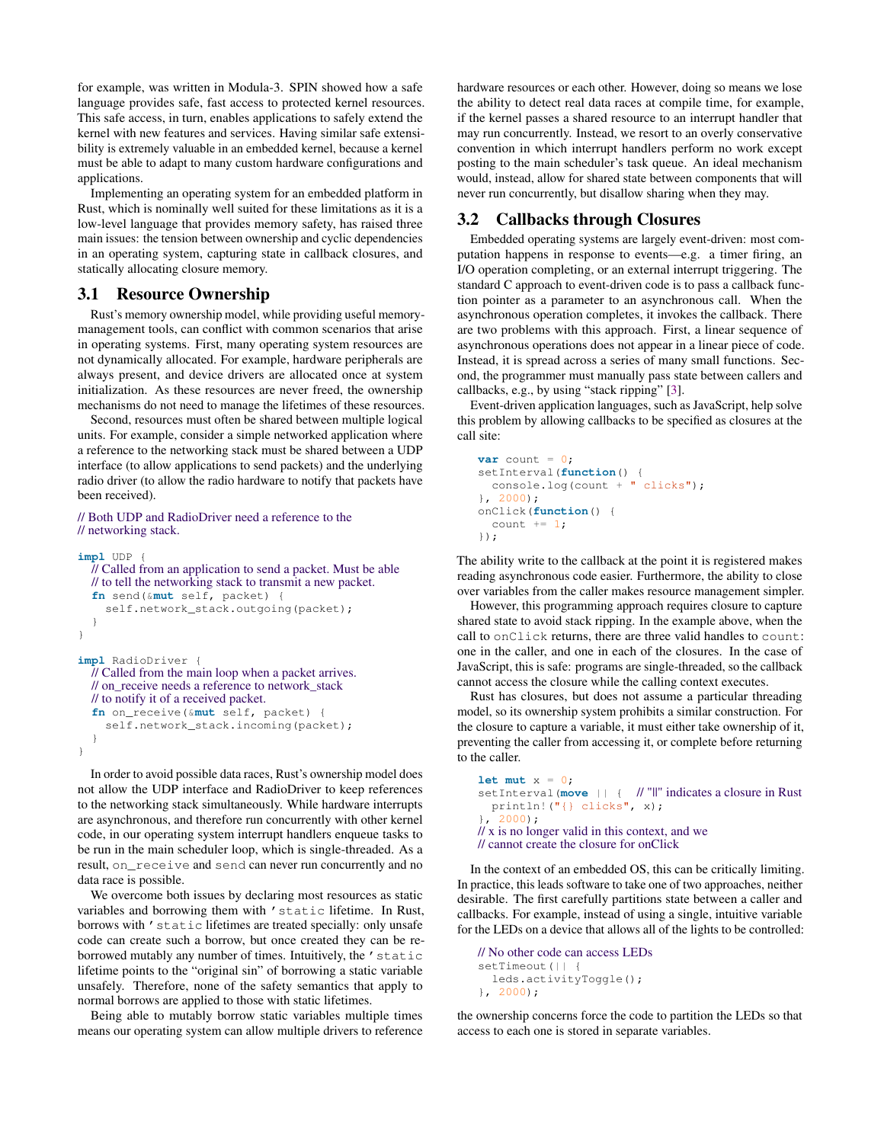for example, was written in Modula-3. SPIN showed how a safe language provides safe, fast access to protected kernel resources. This safe access, in turn, enables applications to safely extend the kernel with new features and services. Having similar safe extensibility is extremely valuable in an embedded kernel, because a kernel must be able to adapt to many custom hardware configurations and applications.

Implementing an operating system for an embedded platform in Rust, which is nominally well suited for these limitations as it is a low-level language that provides memory safety, has raised three main issues: the tension between ownership and cyclic dependencies in an operating system, capturing state in callback closures, and statically allocating closure memory.

## 3.1 Resource Ownership

Rust's memory ownership model, while providing useful memorymanagement tools, can conflict with common scenarios that arise in operating systems. First, many operating system resources are not dynamically allocated. For example, hardware peripherals are always present, and device drivers are allocated once at system initialization. As these resources are never freed, the ownership mechanisms do not need to manage the lifetimes of these resources.

Second, resources must often be shared between multiple logical units. For example, consider a simple networked application where a reference to the networking stack must be shared between a UDP interface (to allow applications to send packets) and the underlying radio driver (to allow the radio hardware to notify that packets have been received).

#### // Both UDP and RadioDriver need a reference to the // networking stack.

```
impl UDP {
  \bar{l}/ Called from an application to send a packet. Must be able
  // to tell the networking stack to transmit a new packet.
  fn send(&mut self, packet) {
     self.network_stack.outgoing(packet);
   }
}
impl RadioDriver {
  \bar{U} Called from the main loop when a packet arrives.
  // on_receive needs a reference to network_stack
  // to notify it of a received packet.
  fn on_receive(&mut self, packet) {
     self.network_stack.incoming(packet);
   }
}
```
In order to avoid possible data races, Rust's ownership model does not allow the UDP interface and RadioDriver to keep references to the networking stack simultaneously. While hardware interrupts are asynchronous, and therefore run concurrently with other kernel code, in our operating system interrupt handlers enqueue tasks to be run in the main scheduler loop, which is single-threaded. As a result, on\_receive and send can never run concurrently and no data race is possible.

We overcome both issues by declaring most resources as static variables and borrowing them with 'static lifetime. In Rust, borrows with 'static lifetimes are treated specially: only unsafe code can create such a borrow, but once created they can be reborrowed mutably any number of times. Intuitively, the 'static lifetime points to the "original sin" of borrowing a static variable unsafely. Therefore, none of the safety semantics that apply to normal borrows are applied to those with static lifetimes.

Being able to mutably borrow static variables multiple times means our operating system can allow multiple drivers to reference hardware resources or each other. However, doing so means we lose the ability to detect real data races at compile time, for example, if the kernel passes a shared resource to an interrupt handler that may run concurrently. Instead, we resort to an overly conservative convention in which interrupt handlers perform no work except posting to the main scheduler's task queue. An ideal mechanism would, instead, allow for shared state between components that will never run concurrently, but disallow sharing when they may.

## 3.2 Callbacks through Closures

Embedded operating systems are largely event-driven: most computation happens in response to events—e.g. a timer firing, an I/O operation completing, or an external interrupt triggering. The standard C approach to event-driven code is to pass a callback function pointer as a parameter to an asynchronous call. When the asynchronous operation completes, it invokes the callback. There are two problems with this approach. First, a linear sequence of asynchronous operations does not appear in a linear piece of code. Instead, it is spread across a series of many small functions. Second, the programmer must manually pass state between callers and callbacks, e.g., by using "stack ripping" [\[3\]](#page-5-10).

Event-driven application languages, such as JavaScript, help solve this problem by allowing callbacks to be specified as closures at the call site:

```
\mathbf{var} count = 0:
setInterval(function() {
 console.log(count + " clicks");
}, 2000);
onClick(function() {
  count += 1;});
```
The ability write to the callback at the point it is registered makes reading asynchronous code easier. Furthermore, the ability to close over variables from the caller makes resource management simpler.

However, this programming approach requires closure to capture shared state to avoid stack ripping. In the example above, when the call to onClick returns, there are three valid handles to count: one in the caller, and one in each of the closures. In the case of JavaScript, this is safe: programs are single-threaded, so the callback cannot access the closure while the calling context executes.

Rust has closures, but does not assume a particular threading model, so its ownership system prohibits a similar construction. For the closure to capture a variable, it must either take ownership of it, preventing the caller from accessing it, or complete before returning to the caller.

```
let mut x = 0;setInterval(move || { // "||" indicates a closure in Rust
  println!("{} clicks", x);
}, 2000);
\frac{1}{x} is no longer valid in this context, and we
// cannot create the closure for onClick
```
In the context of an embedded OS, this can be critically limiting. In practice, this leads software to take one of two approaches, neither desirable. The first carefully partitions state between a caller and callbacks. For example, instead of using a single, intuitive variable for the LEDs on a device that allows all of the lights to be controlled:

```
// No other code can access LEDs
setTimeout(|| {
  leds.activityToggle();
}, 2000);
```
the ownership concerns force the code to partition the LEDs so that access to each one is stored in separate variables.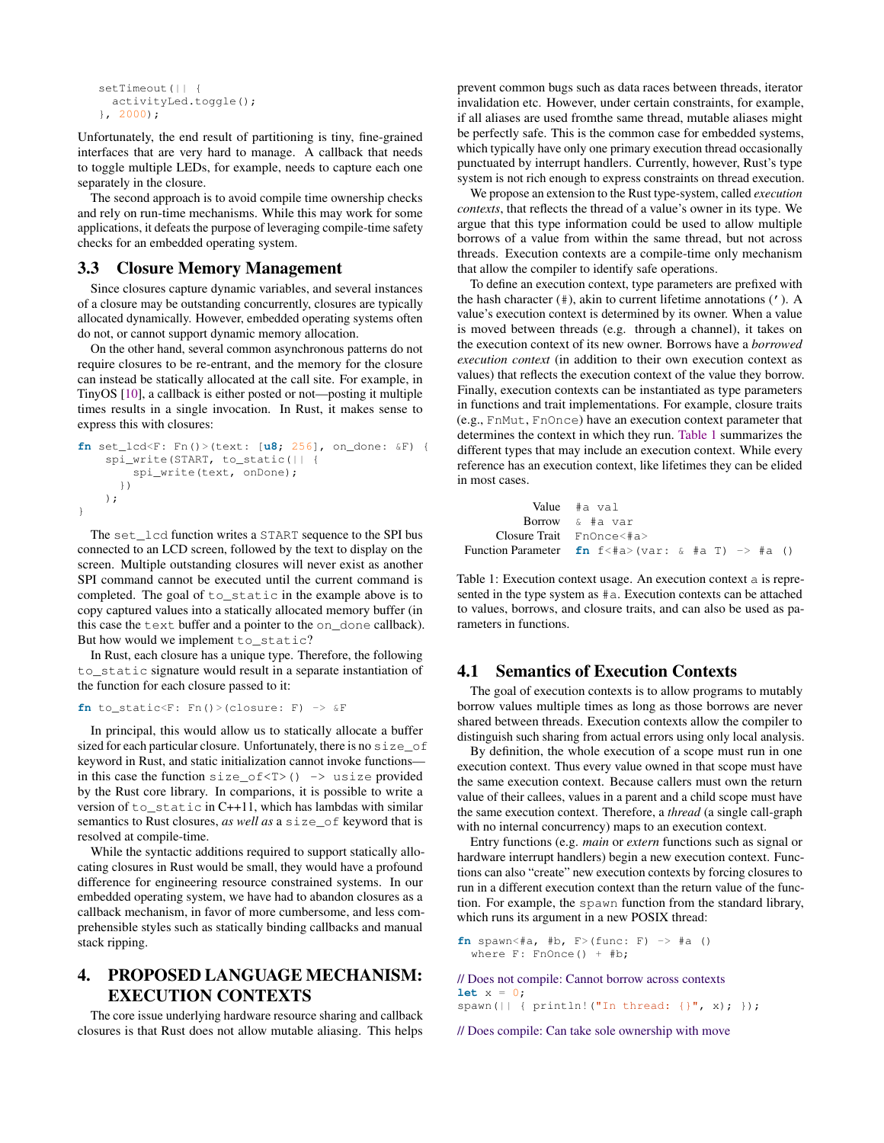```
setTimeout(|| {
  activityLed.toggle();
}, 2000);
```
Unfortunately, the end result of partitioning is tiny, fine-grained interfaces that are very hard to manage. A callback that needs to toggle multiple LEDs, for example, needs to capture each one separately in the closure.

The second approach is to avoid compile time ownership checks and rely on run-time mechanisms. While this may work for some applications, it defeats the purpose of leveraging compile-time safety checks for an embedded operating system.

#### 3.3 Closure Memory Management

Since closures capture dynamic variables, and several instances of a closure may be outstanding concurrently, closures are typically allocated dynamically. However, embedded operating systems often do not, or cannot support dynamic memory allocation.

On the other hand, several common asynchronous patterns do not require closures to be re-entrant, and the memory for the closure can instead be statically allocated at the call site. For example, in TinyOS [\[10\]](#page-5-7), a callback is either posted or not—posting it multiple times results in a single invocation. In Rust, it makes sense to express this with closures:

```
fn set_lcd<F: Fn()>(text: [u8; 256], on_done: &F) {
    spi_write(START, to_static(|| {
        spi_write(text, onDone);
      })
    );
}
```
The set\_lcd function writes a START sequence to the SPI bus connected to an LCD screen, followed by the text to display on the screen. Multiple outstanding closures will never exist as another SPI command cannot be executed until the current command is completed. The goal of to\_static in the example above is to copy captured values into a statically allocated memory buffer (in this case the text buffer and a pointer to the on\_done callback). But how would we implement to static?

In Rust, each closure has a unique type. Therefore, the following to\_static signature would result in a separate instantiation of the function for each closure passed to it:

```
fn to_static<F: Fn() > (closure: F) \rightarrow \&F
```
In principal, this would allow us to statically allocate a buffer sized for each particular closure. Unfortunately, there is no size\_of keyword in Rust, and static initialization cannot invoke functions in this case the function  $size\_of < T>()$  -> usize provided by the Rust core library. In comparions, it is possible to write a version of to\_static in C++11, which has lambdas with similar semantics to Rust closures, *as well as* a size\_of keyword that is resolved at compile-time.

While the syntactic additions required to support statically allocating closures in Rust would be small, they would have a profound difference for engineering resource constrained systems. In our embedded operating system, we have had to abandon closures as a callback mechanism, in favor of more cumbersome, and less comprehensible styles such as statically binding callbacks and manual stack ripping.

# 4. PROPOSED LANGUAGE MECHANISM: EXECUTION CONTEXTS

The core issue underlying hardware resource sharing and callback closures is that Rust does not allow mutable aliasing. This helps prevent common bugs such as data races between threads, iterator invalidation etc. However, under certain constraints, for example, if all aliases are used fromthe same thread, mutable aliases might be perfectly safe. This is the common case for embedded systems, which typically have only one primary execution thread occasionally punctuated by interrupt handlers. Currently, however, Rust's type system is not rich enough to express constraints on thread execution.

We propose an extension to the Rust type-system, called *execution contexts*, that reflects the thread of a value's owner in its type. We argue that this type information could be used to allow multiple borrows of a value from within the same thread, but not across threads. Execution contexts are a compile-time only mechanism that allow the compiler to identify safe operations.

To define an execution context, type parameters are prefixed with the hash character  $(\#)$ , akin to current lifetime annotations  $(')$ . A value's execution context is determined by its owner. When a value is moved between threads (e.g. through a channel), it takes on the execution context of its new owner. Borrows have a *borrowed execution context* (in addition to their own execution context as values) that reflects the execution context of the value they borrow. Finally, execution contexts can be instantiated as type parameters in functions and trait implementations. For example, closure traits (e.g., FnMut, FnOnce) have an execution context parameter that determines the context in which they run. [Table 1](#page-3-0) summarizes the different types that may include an execution context. While every reference has an execution context, like lifetimes they can be elided in most cases.

```
Value #a val
         Borrow & #a var
    Closure Trait FnOnce<#a>
Function Parameter fn f<#a>(var: & #a T) -> #a ()
```
Table 1: Execution context usage. An execution context a is represented in the type system as #a. Execution contexts can be attached to values, borrows, and closure traits, and can also be used as parameters in functions.

#### 4.1 Semantics of Execution Contexts

The goal of execution contexts is to allow programs to mutably borrow values multiple times as long as those borrows are never shared between threads. Execution contexts allow the compiler to distinguish such sharing from actual errors using only local analysis.

By definition, the whole execution of a scope must run in one execution context. Thus every value owned in that scope must have the same execution context. Because callers must own the return value of their callees, values in a parent and a child scope must have the same execution context. Therefore, a *thread* (a single call-graph with no internal concurrency) maps to an execution context.

Entry functions (e.g. *main* or *extern* functions such as signal or hardware interrupt handlers) begin a new execution context. Functions can also "create" new execution contexts by forcing closures to run in a different execution context than the return value of the function. For example, the spawn function from the standard library, which runs its argument in a new POSIX thread:

```
fn spawn<#a, #b, F > (func: F) \Rightarrow #a ()
  where F: FnOnce() + #b;
```

```
// Does not compile: Cannot borrow across contexts
let x = 0;
spawn(|| { println! ("In thread: {}", x); });
```
// Does compile: Can take sole ownership with move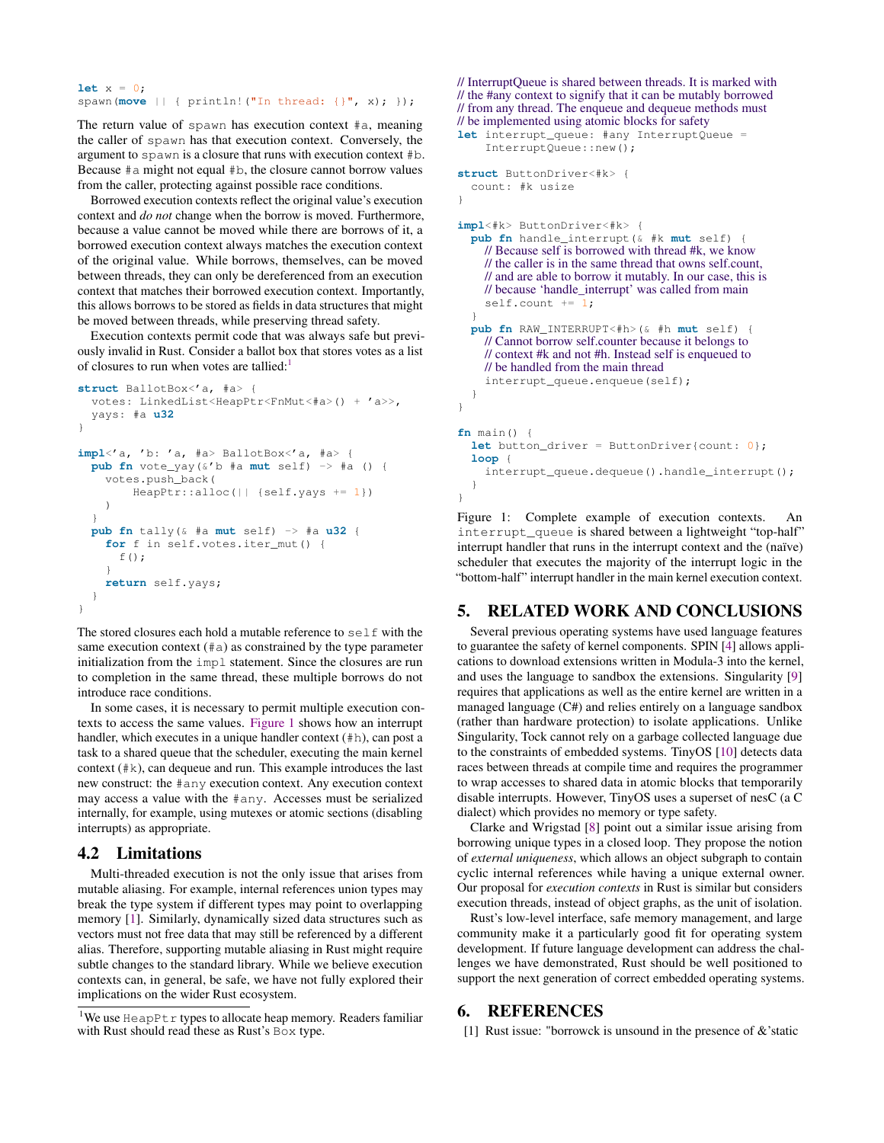#### **let** x = 0; spawn(**move** || { println!("In thread: {}", x); });

The return value of spawn has execution context #a, meaning the caller of spawn has that execution context. Conversely, the argument to spawn is a closure that runs with execution context #b. Because #a might not equal #b, the closure cannot borrow values from the caller, protecting against possible race conditions.

Borrowed execution contexts reflect the original value's execution context and *do not* change when the borrow is moved. Furthermore, because a value cannot be moved while there are borrows of it, a borrowed execution context always matches the execution context of the original value. While borrows, themselves, can be moved between threads, they can only be dereferenced from an execution context that matches their borrowed execution context. Importantly, this allows borrows to be stored as fields in data structures that might be moved between threads, while preserving thread safety.

Execution contexts permit code that was always safe but previously invalid in Rust. Consider a ballot box that stores votes as a list of closures to run when votes are tallied: $<sup>1</sup>$  $<sup>1</sup>$  $<sup>1</sup>$ </sup>

```
struct BallotBox<'a, #a> {
 votes: LinkedList<HeapPtr<FnMut<#a>() + 'a>>,
 yays: #a u32
}
impl<'a, 'b: 'a, #a> BallotBox<'a, #a> {
 pub fn vote_yay(&'b #a mut self) -> #a () {
    votes.push_back(
        HeapPtr::alloc(|| {self.yays += 1})
    )
  }
 pub fn tally(& #a mut self) -> #a u32 {
    for f in self.votes.iter_mut() {
     f();
    }
    return self.yays;
 }
}
```
The stored closures each hold a mutable reference to self with the same execution context  $(\#a)$  as constrained by the type parameter initialization from the impl statement. Since the closures are run to completion in the same thread, these multiple borrows do not introduce race conditions.

In some cases, it is necessary to permit multiple execution contexts to access the same values. [Figure 1](#page-4-1) shows how an interrupt handler, which executes in a unique handler context (#h), can post a task to a shared queue that the scheduler, executing the main kernel context (#k), can dequeue and run. This example introduces the last new construct: the #any execution context. Any execution context may access a value with the #any. Accesses must be serialized internally, for example, using mutexes or atomic sections (disabling interrupts) as appropriate.

#### 4.2 Limitations

Multi-threaded execution is not the only issue that arises from mutable aliasing. For example, internal references union types may break the type system if different types may point to overlapping memory [\[1\]](#page-4-2). Similarly, dynamically sized data structures such as vectors must not free data that may still be referenced by a different alias. Therefore, supporting mutable aliasing in Rust might require subtle changes to the standard library. While we believe execution contexts can, in general, be safe, we have not fully explored their implications on the wider Rust ecosystem.

<span id="page-4-1"></span>// InterruptQueue is shared between threads. It is marked with // the #any context to signify that it can be mutably borrowed // from any thread. The enqueue and dequeue methods must // be implemented using atomic blocks for safety **let** interrupt\_queue: #any InterruptQueue = InterruptQueue::new(); **struct** ButtonDriver<#k> { count: #k usize } **impl**<#k> ButtonDriver<#k> { **pub fn** handle\_interrupt(& #k **mut** self) { // Because self is borrowed with thread #k, we know // the caller is in the same thread that owns self.count, // and are able to borrow it mutably. In our case, this is // because 'handle interrupt' was called from main self.count  $+= 1;$ } **pub fn** RAW\_INTERRUPT<#h>(& #h **mut** self) { // Cannot borrow self.counter because it belongs to // context #k and not #h. Instead self is enqueued to // be handled from the main thread interrupt\_queue.enqueue(self); } } **fn** main() { **let** button\_driver = ButtonDriver{count: 0}; **loop** { interrupt\_queue.dequeue().handle\_interrupt(); } }

Figure 1: Complete example of execution contexts. An interrupt\_queue is shared between a lightweight "top-half" interrupt handler that runs in the interrupt context and the (naïve) scheduler that executes the majority of the interrupt logic in the "bottom-half" interrupt handler in the main kernel execution context.

## 5. RELATED WORK AND CONCLUSIONS

Several previous operating systems have used language features to guarantee the safety of kernel components. SPIN [\[4\]](#page-5-9) allows applications to download extensions written in Modula-3 into the kernel, and uses the language to sandbox the extensions. Singularity [\[9\]](#page-5-11) requires that applications as well as the entire kernel are written in a managed language (C#) and relies entirely on a language sandbox (rather than hardware protection) to isolate applications. Unlike Singularity, Tock cannot rely on a garbage collected language due to the constraints of embedded systems. TinyOS [\[10\]](#page-5-7) detects data races between threads at compile time and requires the programmer to wrap accesses to shared data in atomic blocks that temporarily disable interrupts. However, TinyOS uses a superset of nesC (a C dialect) which provides no memory or type safety.

Clarke and Wrigstad [\[8\]](#page-5-12) point out a similar issue arising from borrowing unique types in a closed loop. They propose the notion of *external uniqueness*, which allows an object subgraph to contain cyclic internal references while having a unique external owner. Our proposal for *execution contexts* in Rust is similar but considers execution threads, instead of object graphs, as the unit of isolation.

Rust's low-level interface, safe memory management, and large community make it a particularly good fit for operating system development. If future language development can address the challenges we have demonstrated, Rust should be well positioned to support the next generation of correct embedded operating systems.

# 6. REFERENCES

<span id="page-4-2"></span>[1] Rust issue: "borrowck is unsound in the presence of  $&$ 'static

<span id="page-4-0"></span><sup>&</sup>lt;sup>1</sup>We use HeapPtr types to allocate heap memory. Readers familiar with Rust should read these as Rust's Box type.